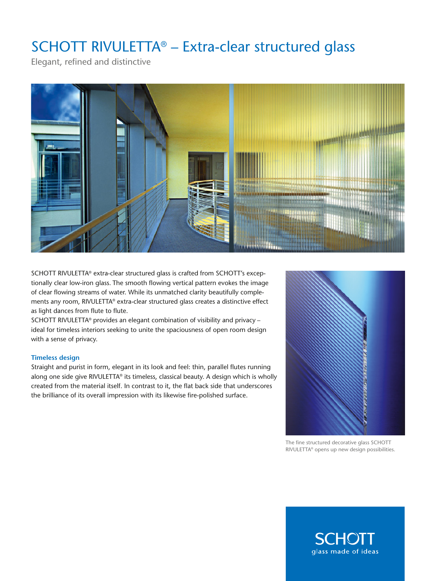## SCHOTT RIVULETTA® – Extra-clear structured glass

Elegant, refined and distinctive



SCHOTT RIVULETTA® extra-clear structured glass is crafted from SCHOTT's exceptionally clear low-iron glass. The smooth flowing vertical pattern evokes the image of clear flowing streams of water. While its unmatched clarity beautifully complements any room, RIVULETTA® extra-clear structured glass creates a distinctive effect as light dances from flute to flute.

SCHOTT RIVULETTA® provides an elegant combination of visibility and privacy – ideal for timeless interiors seeking to unite the spaciousness of open room design with a sense of privacy.

### **Timeless design**

Straight and purist in form, elegant in its look and feel: thin, parallel flutes running along one side give RIVULETTA® its timeless, classical beauty. A design which is wholly created from the material itself. In contrast to it, the flat back side that underscores the brilliance of its overall impression with its likewise fire-polished surface.



The fine structured decorative glass SCHOTT RIVULETTA® opens up new design possibilities.